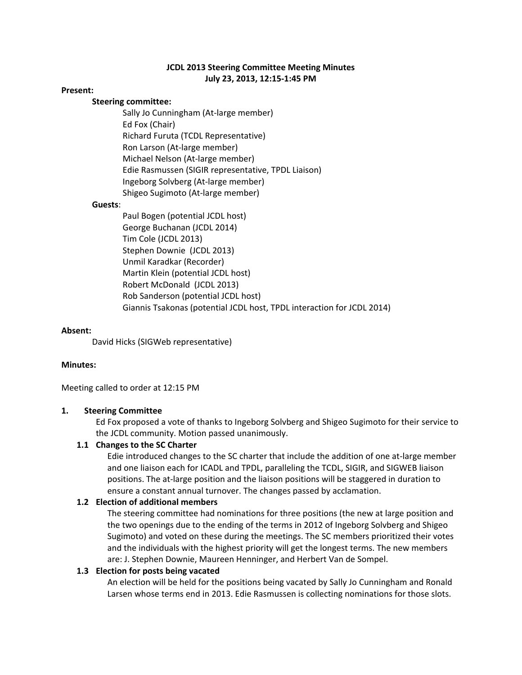# **JCDL 2013 Steering Committee Meeting Minutes July 23, 2013, 12:15‐1:45 PM**

#### **Present:**

### **Steering committee:**

 Sally Jo Cunningham (At‐large member) Ed Fox (Chair) Richard Furuta (TCDL Representative) Ron Larson (At‐large member) Michael Nelson (At‐large member) Edie Rasmussen (SIGIR representative, TPDL Liaison) Ingeborg Solvberg (At‐large member) Shigeo Sugimoto (At‐large member)

#### **Guests**:

 Paul Bogen (potential JCDL host) George Buchanan (JCDL 2014) Tim Cole (JCDL 2013) Stephen Downie (JCDL 2013) Unmil Karadkar (Recorder) Martin Klein (potential JCDL host) Robert McDonald (JCDL 2013) Rob Sanderson (potential JCDL host) Giannis Tsakonas (potential JCDL host, TPDL interaction for JCDL 2014)

#### **Absent:**

David Hicks (SIGWeb representative)

### **Minutes:**

Meeting called to order at 12:15 PM

### **1. Steering Committee**

Ed Fox proposed a vote of thanks to Ingeborg Solvberg and Shigeo Sugimoto for their service to the JCDL community. Motion passed unanimously.

#### **1.1 Changes to the SC Charter**

Edie introduced changes to the SC charter that include the addition of one at‐large member and one liaison each for ICADL and TPDL, paralleling the TCDL, SIGIR, and SIGWEB liaison positions. The at‐large position and the liaison positions will be staggered in duration to ensure a constant annual turnover. The changes passed by acclamation.

### **1.2 Election of additional members**

The steering committee had nominations for three positions (the new at large position and the two openings due to the ending of the terms in 2012 of Ingeborg Solvberg and Shigeo Sugimoto) and voted on these during the meetings. The SC members prioritized their votes and the individuals with the highest priority will get the longest terms. The new members are: J. Stephen Downie, Maureen Henninger, and Herbert Van de Sompel.

#### **1.3 Election for posts being vacated**

An election will be held for the positions being vacated by Sally Jo Cunningham and Ronald Larsen whose terms end in 2013. Edie Rasmussen is collecting nominations for those slots.